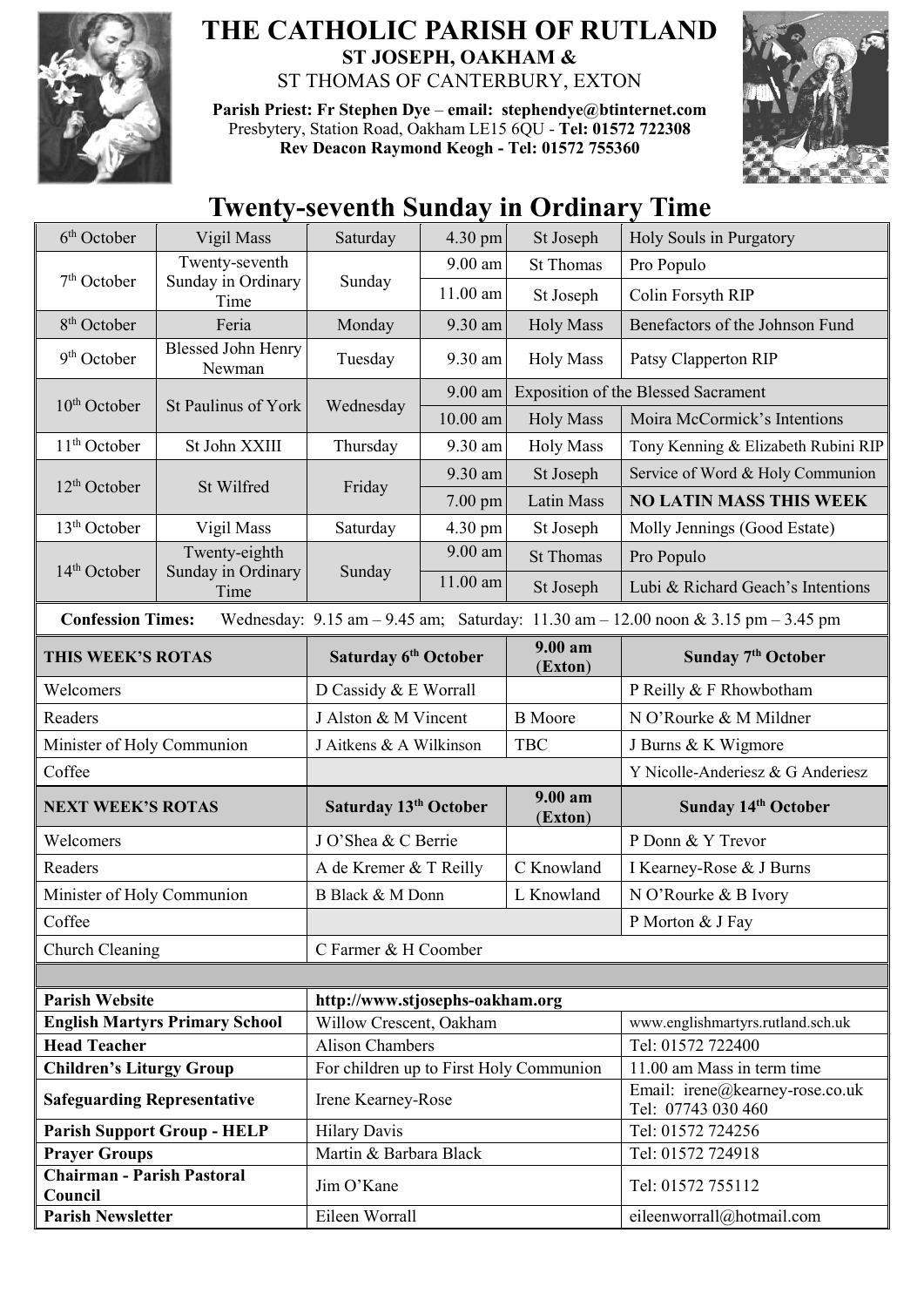

## **THE CATHOLIC PARISH OF RUTLAND ST JOSEPH, OAKHAM &**  ST THOMAS OF CANTERBURY, EXTON

**Parish Priest: Fr Stephen Dye** – **[email: stephendye@btinternet.com](mailto:email:%20%20stephendye@btinternet.com)** Presbytery, Station Road, Oakham LE15 6QU - **Tel: 01572 722308 Rev Deacon Raymond Keogh - Tel: 01572 755360**



## **Twenty-seventh Sunday in Ordinary Time**

| 6 <sup>th</sup> October                                                                                                                                             | Vigil Mass                                   | Saturday                                                          | 4.30 pm    | St Joseph          | Holy Souls in Purgatory                                       |  |
|---------------------------------------------------------------------------------------------------------------------------------------------------------------------|----------------------------------------------|-------------------------------------------------------------------|------------|--------------------|---------------------------------------------------------------|--|
| 7 <sup>th</sup> October                                                                                                                                             | Twenty-seventh<br>Sunday in Ordinary<br>Time | Sunday                                                            | 9.00 am    | <b>St Thomas</b>   | Pro Populo                                                    |  |
|                                                                                                                                                                     |                                              |                                                                   | 11.00 am   | St Joseph          | Colin Forsyth RIP                                             |  |
| 8 <sup>th</sup> October                                                                                                                                             | Feria                                        | Monday                                                            | 9.30 am    | <b>Holy Mass</b>   | Benefactors of the Johnson Fund                               |  |
| 9 <sup>th</sup> October                                                                                                                                             | <b>Blessed John Henry</b><br>Newman          | Tuesday                                                           | 9.30 am    | <b>Holy Mass</b>   | Patsy Clapperton RIP                                          |  |
| $10th$ October                                                                                                                                                      | St Paulinus of York                          | Wednesday                                                         | $9.00$ am  |                    | <b>Exposition of the Blessed Sacrament</b>                    |  |
|                                                                                                                                                                     |                                              |                                                                   | $10.00$ am | <b>Holy Mass</b>   | Moira McCormick's Intentions                                  |  |
| $11th$ October                                                                                                                                                      | St John XXIII                                | Thursday                                                          | 9.30 am    | <b>Holy Mass</b>   | Tony Kenning & Elizabeth Rubini RIP                           |  |
| $12th$ October                                                                                                                                                      | St Wilfred                                   | Friday                                                            | 9.30 am    | St Joseph          | Service of Word & Holy Communion                              |  |
|                                                                                                                                                                     |                                              |                                                                   | $7.00$ pm  | Latin Mass         | <b>NO LATIN MASS THIS WEEK</b>                                |  |
| 13 <sup>th</sup> October                                                                                                                                            | Vigil Mass                                   | Saturday                                                          | 4.30 pm    | St Joseph          | Molly Jennings (Good Estate)                                  |  |
| $14th$ October                                                                                                                                                      | Twenty-eighth<br>Sunday in Ordinary<br>Time  | Sunday                                                            | 9.00 am    | <b>St Thomas</b>   | Pro Populo                                                    |  |
|                                                                                                                                                                     |                                              |                                                                   | 11.00 am   | St Joseph          | Lubi & Richard Geach's Intentions                             |  |
| <b>Confession Times:</b><br>Wednesday: $9.15 \text{ am} - 9.45 \text{ am}$ ; Saturday: $11.30 \text{ am} - 12.00 \text{ noon} \& 3.15 \text{ pm} - 3.45 \text{ pm}$ |                                              |                                                                   |            |                    |                                                               |  |
| THIS WEEK'S ROTAS                                                                                                                                                   |                                              | Saturday 6 <sup>th</sup> October                                  |            | 9.00 am<br>(Exton) | Sunday 7 <sup>th</sup> October                                |  |
| Welcomers                                                                                                                                                           |                                              | D Cassidy & E Worrall                                             |            |                    | P Reilly & F Rhowbotham                                       |  |
| Readers                                                                                                                                                             |                                              | J Alston & M Vincent                                              |            | <b>B</b> Moore     | N O'Rourke & M Mildner                                        |  |
| Minister of Holy Communion                                                                                                                                          |                                              | J Aitkens & A Wilkinson                                           |            | <b>TBC</b>         | J Burns & K Wigmore                                           |  |
| Coffee                                                                                                                                                              |                                              |                                                                   |            |                    | Y Nicolle-Anderiesz & G Anderiesz                             |  |
| <b>NEXT WEEK'S ROTAS</b>                                                                                                                                            |                                              | Saturday 13 <sup>th</sup> October                                 |            | 9.00 am<br>(Exton) | Sunday 14th October                                           |  |
| Welcomers                                                                                                                                                           |                                              | J O'Shea & C Berrie                                               |            |                    | P Donn & Y Trevor                                             |  |
| Readers                                                                                                                                                             |                                              | A de Kremer & T Reilly                                            |            | C Knowland         | I Kearney-Rose & J Burns                                      |  |
| Minister of Holy Communion                                                                                                                                          |                                              | B Black & M Donn                                                  |            | L Knowland         | N O'Rourke & B Ivory                                          |  |
| Coffee                                                                                                                                                              |                                              |                                                                   |            |                    | P Morton & J Fay                                              |  |
| Church Cleaning                                                                                                                                                     |                                              | C Farmer & H Coomber                                              |            |                    |                                                               |  |
|                                                                                                                                                                     |                                              |                                                                   |            |                    |                                                               |  |
| <b>Parish Website</b>                                                                                                                                               |                                              | http://www.stjosephs-oakham.org                                   |            |                    |                                                               |  |
| <b>English Martyrs Primary School</b>                                                                                                                               |                                              | Willow Crescent, Oakham                                           |            |                    | www.englishmartyrs.rutland.sch.uk                             |  |
| <b>Head Teacher</b>                                                                                                                                                 |                                              | <b>Alison Chambers</b><br>For children up to First Holy Communion |            |                    | Tel: 01572 722400                                             |  |
| <b>Children's Liturgy Group</b>                                                                                                                                     |                                              |                                                                   |            |                    | 11.00 am Mass in term time<br>Email: irene@kearney-rose.co.uk |  |
| <b>Safeguarding Representative</b>                                                                                                                                  |                                              | Irene Kearney-Rose                                                |            |                    | Tel: 07743 030 460                                            |  |
| <b>Parish Support Group - HELP</b>                                                                                                                                  |                                              | <b>Hilary Davis</b>                                               |            |                    | Tel: 01572 724256                                             |  |
| <b>Prayer Groups</b><br><b>Chairman - Parish Pastoral</b>                                                                                                           |                                              | Martin & Barbara Black                                            |            |                    | Tel: 01572 724918                                             |  |
| Council                                                                                                                                                             |                                              | Jim O'Kane                                                        |            |                    | Tel: 01572 755112                                             |  |
| <b>Parish Newsletter</b>                                                                                                                                            |                                              | Eileen Worrall                                                    |            |                    | eileenworrall@hotmail.com                                     |  |